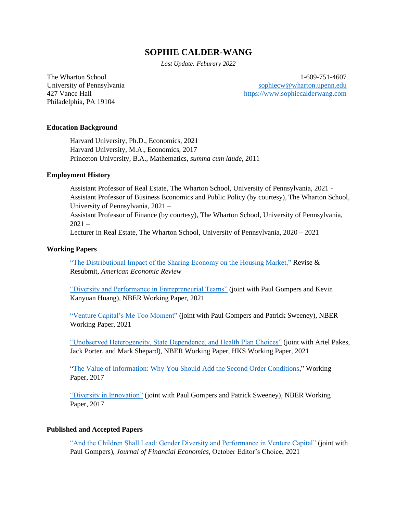# **SOPHIE CALDER-WANG**

*Last Update: Feburary 2022*

Philadelphia, PA 19104

The Wharton School 1-609-751-4607 University of Pennsylvania and the sophiecular [sophiecw@wharton.upenn.edu](file:///C:/Users/qingz/Dropbox/HarvardUniversity/Professional%20Activities/CV/sophiecw@wharton.upenn.edu) 427 Vance Hall [https://www.sophiecalderwang.com](https://www.sophiecalderwang.com/)

# **Education Background**

Harvard University, Ph.D., Economics, 2021 Harvard University, M.A., Economics, 2017 Princeton University, B.A., Mathematics, *summa cum laude*, 2011

## **Employment History**

Assistant Professor of Real Estate, The Wharton School, University of Pennsylvania, 2021 - Assistant Professor of Business Economics and Public Policy (by courtesy), The Wharton School, University of Pennsylvania, 2021 – Assistant Professor of Finance (by courtesy), The Wharton School, University of Pennsylvania,

 $2021 -$ 

Lecturer in Real Estate, The Wharton School, University of Pennsylvania, 2020 – 2021

# **Working Papers**

["The Distributional Impact of the Sharing Economy on the Housing Market,"](https://papers.ssrn.com/sol3/papers.cfm?abstract_id=3908062) Revise  $\&$ Resubmit, *American Economic Review*

["Diversity and Performance in Entrepreneurial Teams"](https://papers.ssrn.com/sol3/papers.cfm?abstract_id=3908020) (joint with Paul Gompers and Kevin Kanyuan Huang), NBER Working Paper, 2021

["Venture Capital's Me Too Moment"](https://papers.ssrn.com/sol3/papers.cfm?abstract_id=3897470) (joint with Paul Gompers and Patrick Sweeney), NBER Working Paper, 2021

["Unobserved Heterogeneity, State Dependence, and Health Plan Choices"](https://papers.ssrn.com/sol3/papers.cfm?abstract_id=3898668) (joint with Ariel Pakes, Jack Porter, and Mark Shepard), NBER Working Paper, HKS Working Paper, 2021

["The Value of Information: Why You Should Add the Second Order Conditions,](https://scholar.harvard.edu/files/sophie-qingzhen-wang/files/weak_instruments_in_moment_inequalities_11_2016_sophie_wang.pdf)" Working Paper, 2017

["Diversity in Innovation"](https://papers.ssrn.com/sol3/papers.cfm?abstract_id=2903783) (joint with Paul Gompers and Patrick Sweeney), NBER Working Paper, 2017

# **Published and Accepted Papers**

["And the Children Shall Lead: Gender Diversity and Performance in Venture Capital"](https://www.sciencedirect.com/science/article/abs/pii/S0304405X21001483) (joint with Paul Gompers), *Journal of Financial Economics*, October Editor's Choice, 2021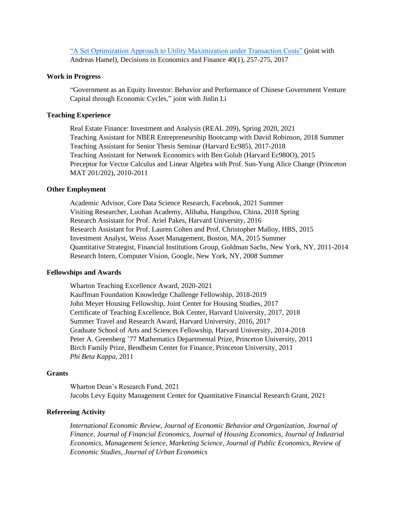["A Set Optimization Approach to Utility Maximization under Transaction Costs"](https://scholar.harvard.edu/files/sophie-qingzhen-wang/files/hamel_wang_2017_decision_in_economics_and_finance_-_a_set_optimization_approach_to_utility_maximization_under_transaction_costs.pdf) (joint with Andreas Hamel), Decisions in Economics and Finance 40(1), 257-275, 2017

# **Work in Progress**

"Government as an Equity Investor: Behavior and Performance of Chinese Government Venture Capital through Economic Cycles," joint with Jinlin Li

#### **Teaching Experience**

Real Estate Finance: Investment and Analysis (REAL 209), Spring 2020, 2021 Teaching Assistant for NBER Entrepreneurship Bootcamp with David Robinson, 2018 Summer Teaching Assistant for Senior Thesis Seminar (Harvard Ec985), 2017-2018 Teaching Assistant for Network Economics with Ben Golub (Harvard Ec980O), 2015 Preceptor for Vector Calculus and Linear Algebra with Prof. Sun-Yung Alice Change (Princeton MAT 201/202), 2010-2011

#### **Other Employment**

Academic Advisor, Core Data Science Research, Facebook, 2021 Summer Visiting Researcher, Luohan Academy, Alibaba, Hangzhou, China, 2018 Spring Research Assistant for Prof. Ariel Pakes, Harvard University, 2016 Research Assistant for Prof. Lauren Cohen and Prof. Christopher Malloy, HBS, 2015 Investment Analyst, Weiss Asset Management, Boston, MA, 2015 Summer Quantitative Strategist, Financial Institutions Group, Goldman Sachs, New York, NY, 2011-2014 Research Intern, Computer Vision, Google, New York, NY, 2008 Summer

#### **Fellowships and Awards**

Wharton Teaching Excellence Award, 2020-2021 Kauffman Foundation Knowledge Challenge Fellowship, 2018-2019 John Meyer Housing Fellowship, Joint Center for Housing Studies, 2017 Certificate of Teaching Excellence, Bok Center, Harvard University, 2017, 2018 Summer Travel and Research Award, Harvard University, 2016, 2017 Graduate School of Arts and Sciences Fellowship, Harvard University, 2014-2018 Peter A. Greenberg '77 Mathematics Departmental Prize, Princeton University, 2011 Birch Family Prize, Bendheim Center for Finance, Princeton University, 2011 *Phi Beta Kappa*, 2011

#### **Grants**

Wharton Dean's Research Fund, 2021 Jacobs Levy Equity Management Center for Quantitative Financial Research Grant, 2021

#### **Refereeing Activity**

*International Economic Review, Journal of Economic Behavior and Organization, Journal of Finance, Journal of Financial Economics, Journal of Housing Economics, Journal of Industrial Economics, Management Science, Marketing Science, Journal of Public Economics, Review of Economic Studies, Journal of Urban Economics*